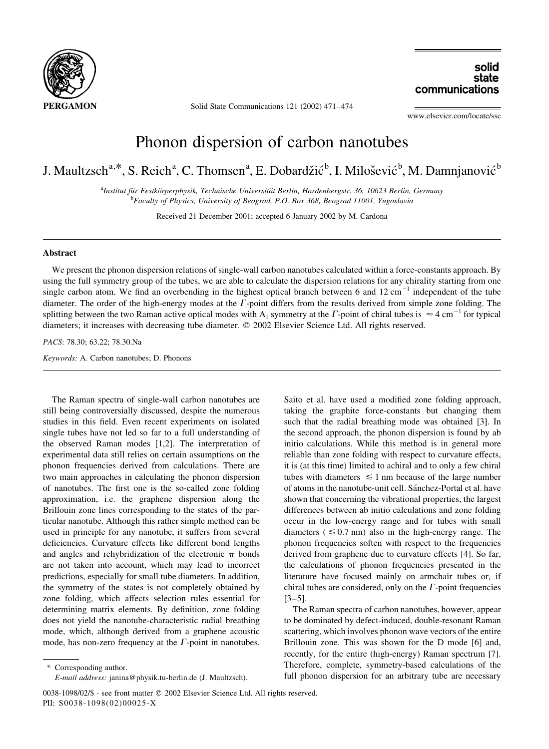

Solid State Communications 121 (2002) 471-474

solid state communications

www.elsevier.com/locate/ssc

## Phonon dispersion of carbon nanotubes

J. Maultzsch<sup>a,\*</sup>, S. Reich<sup>a</sup>, C. Thomsen<sup>a</sup>, E. Dobardžić<sup>b</sup>, I. Milošević<sup>b</sup>, M. Damnjanović<sup>b</sup>

<sup>a</sup>Institut für Festkörperphysik, Technische Universität Berlin, Hardenbergstr. 36, 10623 Berlin, Germany <sup>b</sup>Faculty of Physics, University of Beograd, P.O. Box 368, Beograd 11001, Yugoslavia

Received 21 December 2001; accepted 6 January 2002 by M. Cardona

## Abstract

We present the phonon dispersion relations of single-wall carbon nanotubes calculated within a force-constants approach. By using the full symmetry group of the tubes, we are able to calculate the dispersion relations for any chirality starting from one single carbon atom. We find an overbending in the highest optical branch between 6 and 12 cm<sup>-1</sup> independent of the tube diameter. The order of the high-energy modes at the  $\Gamma$ -point differs from the results derived from simple zone folding. The splitting between the two Raman active optical modes with A<sub>1</sub> symmetry at the  $\Gamma$ -point of chiral tubes is  $\approx 4$  cm<sup>-1</sup> for typical diameters; it increases with decreasing tube diameter. © 2002 Elsevier Science Ltd. All rights reserved.

PACS: 78.30; 63.22; 78.30.Na

Keywords: A. Carbon nanotubes; D. Phonons

The Raman spectra of single-wall carbon nanotubes are still being controversially discussed, despite the numerous studies in this field. Even recent experiments on isolated single tubes have not led so far to a full understanding of the observed Raman modes [1,2]. The interpretation of experimental data still relies on certain assumptions on the phonon frequencies derived from calculations. There are two main approaches in calculating the phonon dispersion of nanotubes. The first one is the so-called zone folding approximation, i.e. the graphene dispersion along the Brillouin zone lines corresponding to the states of the particular nanotube. Although this rather simple method can be used in principle for any nanotube, it suffers from several deficiencies. Curvature effects like different bond lengths and angles and rehybridization of the electronic  $\pi$  bonds are not taken into account, which may lead to incorrect predictions, especially for small tube diameters. In addition, the symmetry of the states is not completely obtained by zone folding, which affects selection rules essential for determining matrix elements. By definition, zone folding does not yield the nanotube-characteristic radial breathing mode, which, although derived from a graphene acoustic mode, has non-zero frequency at the  $\Gamma$ -point in nanotubes.

\* Corresponding author.

E-mail address: janina@physik.tu-berlin.de (J. Maultzsch).

Saito et al. have used a modified zone folding approach, taking the graphite force-constants but changing them such that the radial breathing mode was obtained [3]. In the second approach, the phonon dispersion is found by ab initio calculations. While this method is in general more reliable than zone folding with respect to curvature effects, it is (at this time) limited to achiral and to only a few chiral tubes with diameters  $\leq 1$  nm because of the large number of atoms in the nanotube-unit cell. Sánchez-Portal et al. have shown that concerning the vibrational properties, the largest differences between ab initio calculations and zone folding occur in the low-energy range and for tubes with small diameters ( $\leq 0.7$  nm) also in the high-energy range. The phonon frequencies soften with respect to the frequencies derived from graphene due to curvature effects [4]. So far, the calculations of phonon frequencies presented in the literature have focused mainly on armchair tubes or, if chiral tubes are considered, only on the  $\Gamma$ -point frequencies  $[3-5]$ .

The Raman spectra of carbon nanotubes, however, appear to be dominated by defect-induced, double-resonant Raman scattering, which involves phonon wave vectors of the entire Brillouin zone. This was shown for the D mode [6] and, recently, for the entire (high-energy) Raman spectrum [7]. Therefore, complete, symmetry-based calculations of the full phonon dispersion for an arbitrary tube are necessary

<sup>0038-1098/02/\$ -</sup> see front matter © 2002 Elsevier Science Ltd. All rights reserved. PII: S0038-1098(02)00025-X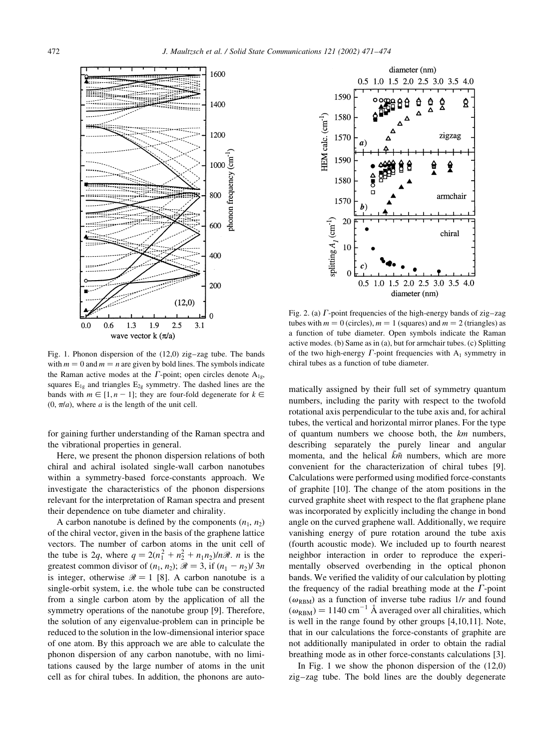

Fig. 1. Phonon dispersion of the (12,0) zig-zag tube. The bands with  $m = 0$  and  $m = n$  are given by bold lines. The symbols indicate the Raman active modes at the  $\Gamma$ -point; open circles denote A<sub>1e</sub>, squares  $E_{1g}$  and triangles  $E_{2g}$  symmetry. The dashed lines are the bands with  $m \in [1, n-1]$ ; they are four-fold degenerate for  $k \in$  $(0, \pi/a)$ , where a is the length of the unit cell.

for gaining further understanding of the Raman spectra and the vibrational properties in general.

Here, we present the phonon dispersion relations of both chiral and achiral isolated single-wall carbon nanotubes within a symmetry-based force-constants approach. We investigate the characteristics of the phonon dispersions relevant for the interpretation of Raman spectra and present their dependence on tube diameter and chirality.

A carbon nanotube is defined by the components  $(n_1, n_2)$ of the chiral vector, given in the basis of the graphene lattice vectors. The number of carbon atoms in the unit cell of the tube is 2q, where  $q = 2(n_1^2 + n_2^2 + n_1n_2)/n\mathcal{R}$ . *n* is the greatest common divisor of  $(n_1, n_2)$ ;  $\Re = 3$ , if  $(n_1 - n_2)/3n$ is integer, otherwise  $\mathcal{R} = 1$  [8]. A carbon nanotube is a single-orbit system, i.e. the whole tube can be constructed from a single carbon atom by the application of all the symmetry operations of the nanotube group [9]. Therefore, the solution of any eigenvalue-problem can in principle be reduced to the solution in the low-dimensional interior space of one atom. By this approach we are able to calculate the phonon dispersion of any carbon nanotube, with no limitations caused by the large number of atoms in the unit cell as for chiral tubes. In addition, the phonons are auto-



Fig. 2. (a)  $\Gamma$ -point frequencies of the high-energy bands of zig-zag tubes with  $m = 0$  (circles),  $m = 1$  (squares) and  $m = 2$  (triangles) as a function of tube diameter. Open symbols indicate the Raman active modes. (b) Same as in (a), but for armchair tubes. (c) Splitting of the two high-energy  $\Gamma$ -point frequencies with  $A_1$  symmetry in chiral tubes as a function of tube diameter.

matically assigned by their full set of symmetry quantum numbers, including the parity with respect to the twofold rotational axis perpendicular to the tube axis and, for achiral tubes, the vertical and horizontal mirror planes. For the type of quantum numbers we choose both, the  $km$  numbers, describing separately the purely linear and angular momenta, and the helical  $\tilde{k}$ *m* numbers, which are more convenient for the characterization of chiral tubes [9]. Calculations were performed using modified force-constants of graphite [10]. The change of the atom positions in the curved graphite sheet with respect to the flat graphene plane was incorporated by explicitly including the change in bond angle on the curved graphene wall. Additionally, we require vanishing energy of pure rotation around the tube axis (fourth acoustic mode). We included up to fourth nearest neighbor interaction in order to reproduce the experimentally observed overbending in the optical phonon bands. We verified the validity of our calculation by plotting the frequency of the radial breathing mode at the  $\Gamma$ -point  $(\omega_{RBM})$  as a function of inverse tube radius  $1/r$  and found  $(\omega_{\rm RBM}) = 1140 \text{ cm}^{-1}$  Å averaged over all chiralities, which is well in the range found by other groups [4,10,11]. Note, that in our calculations the force-constants of graphite are not additionally manipulated in order to obtain the radial breathing mode as in other force-constants calculations [3].

In Fig. 1 we show the phonon dispersion of the  $(12,0)$ zig-zag tube. The bold lines are the doubly degenerate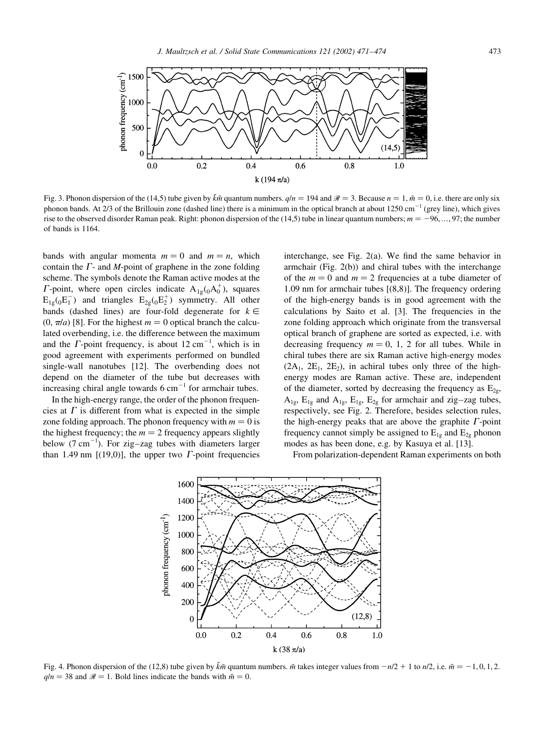

Fig. 3. Phonon dispersion of the (14,5) tube given by  $\tilde{k}\tilde{m}$  quantum numbers.  $q/n = 194$  and  $\mathcal{R} = 3$ . Because  $n = 1$ ,  $\tilde{m} = 0$ , i.e. there are only six phonon bands. At 2/3 of the Brillouin zone (dashed line) there is a minimum in the optical branch at about 1250 cm<sup>-1</sup> (grey line), which gives rise to the observed disorder Raman peak. Right: phonon dispersion of the (14,5) tube in linear quantum numbers;  $m = -96, ..., 97$ ; the number of bands is 1164.

bands with angular momenta  $m = 0$  and  $m = n$ , which contain the  $\Gamma$ - and  $M$ -point of graphene in the zone folding scheme. The symbols denote the Raman active modes at the *F*-point, where open circles indicate  $A_{1g}$ ( $_0A_0^+$ ), squares  $E_{1\sigma}$ ( $_0E_1^-$ ) and triangles  $E_{2\sigma}$ ( $_0E_2^+$ ) symmetry. All other bands (dashed lines) are four-fold degenerate for  $k \in$  $(0, \pi/a)$  [8]. For the highest  $m = 0$  optical branch the calculated overbending, i.e. the difference between the maximum and the  $\Gamma$ -point frequency, is about 12 cm<sup>-1</sup>, which is in good agreement with experiments performed on bundled single-wall nanotubes [12]. The overbending does not depend on the diameter of the tube but decreases with increasing chiral angle towards  $6 \text{ cm}^{-1}$  for armchair tubes.

In the high-energy range, the order of the phonon frequencies at  $\Gamma$  is different from what is expected in the simple zone folding approach. The phonon frequency with  $m = 0$  is the highest frequency; the  $m = 2$  frequency appears slightly below  $(7 \text{ cm}^{-1})$ . For zig-zag tubes with diameters larger than 1.49 nm [(19,0)], the upper two  $\Gamma$ -point frequencies

interchange, see Fig. 2(a). We find the same behavior in armchair (Fig. 2(b)) and chiral tubes with the interchange of the  $m = 0$  and  $m = 2$  frequencies at a tube diameter of 1.09 nm for armchair tubes  $[(8,8)]$ . The frequency ordering of the high-energy bands is in good agreement with the calculations by Saito et al. [3]. The frequencies in the zone folding approach which originate from the transversal optical branch of graphene are sorted as expected, i.e. with decreasing frequency  $m = 0$ , 1, 2 for all tubes. While in chiral tubes there are six Raman active high-energy modes  $(2A_1, 2E_1, 2E_2)$ , in achiral tubes only three of the highenergy modes are Raman active. These are, independent of the diameter, sorted by decreasing the frequency as  $E_{2g}$ ,  $A_{1g}$ ,  $E_{1g}$  and  $A_{1g}$ ,  $E_{1g}$ ,  $E_{2g}$  for armchair and zig-zag tubes, respectively, see Fig. 2. Therefore, besides selection rules, the high-energy peaks that are above the graphite  $\Gamma$ -point frequency cannot simply be assigned to  $E_{1g}$  and  $E_{2g}$  phonon modes as has been done, e.g. by Kasuya et al. [13].

From polarization-dependent Raman experiments on both



Fig. 4. Phonon dispersion of the (12.8) tube given by  $\tilde{k}$ m quantum numbers. m takes integer values from  $-n/2 + 1$  to  $n/2$ , i.e.  $m = -1, 0, 1, 2$ .  $q/n = 38$  and  $\mathcal{R} = 1$ . Bold lines indicate the bands with  $\tilde{m} = 0$ .